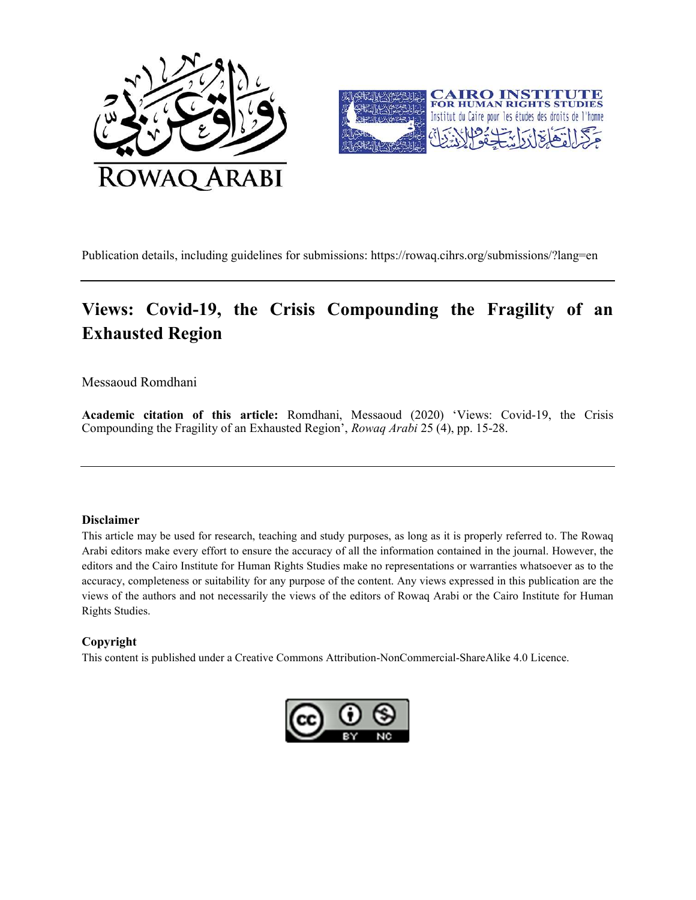



Publication details, including guidelines for submissions: https://rowaq.cihrs.org/submissions/?lang=en

# Views: Covid-19, the Crisis Compounding the Fragility of an Exhausted Region

## Messaoud Romdhani

Academic citation of this article: Romdhani, Messaoud (2020) 'Views: Covid-19, the Crisis Compounding the Fragility of an Exhausted Region', Rowaq Arabi 25 (4), pp. 15-28.

#### Disclaimer

This article may be used for research, teaching and study purposes, as long as it is properly referred to. The Rowaq Arabi editors make every effort to ensure the accuracy of all the information contained in the journal. However, the editors and the Cairo Institute for Human Rights Studies make no representations or warranties whatsoever as to the accuracy, completeness or suitability for any purpose of the content. Any views expressed in this publication are the views of the authors and not necessarily the views of the editors of Rowaq Arabi or the Cairo Institute for Human Rights Studies.

#### Copyright

This content is published under a Creative Commons Attribution-NonCommercial-ShareAlike 4.0 Licence.

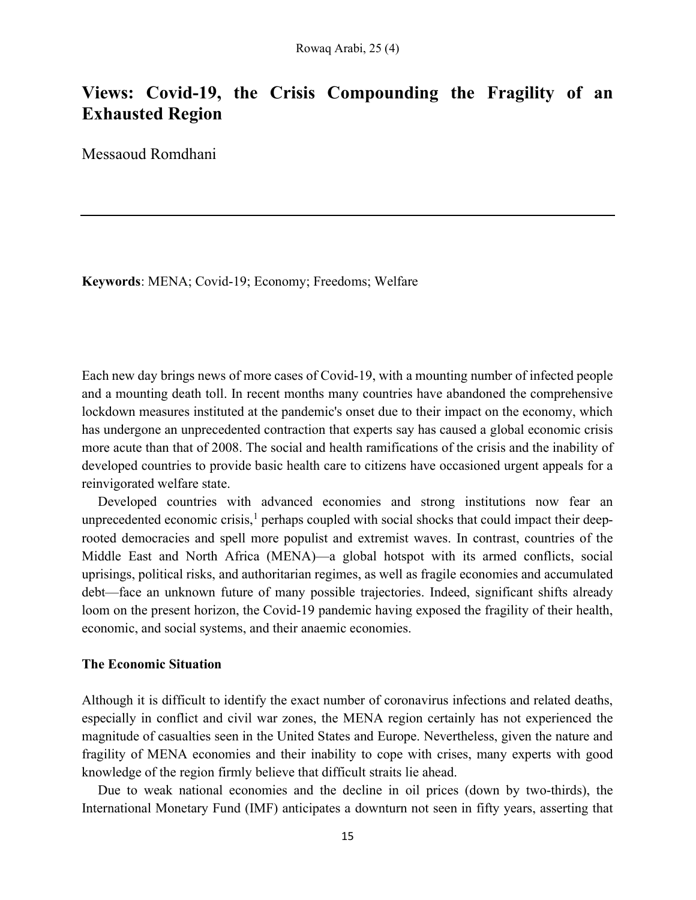## Views: Covid-19, the Crisis Compounding the Fragility of an Exhausted Region

Messaoud Romdhani

Keywords: MENA; Covid-19; Economy; Freedoms; Welfare

Each new day brings news of more cases of Covid-19, with a mounting number of infected people and a mounting death toll. In recent months many countries have abandoned the comprehensive lockdown measures instituted at the pandemic's onset due to their impact on the economy, which has undergone an unprecedented contraction that experts say has caused a global economic crisis more acute than that of 2008. The social and health ramifications of the crisis and the inability of developed countries to provide basic health care to citizens have occasioned urgent appeals for a reinvigorated welfare state.

Developed countries with advanced economies and strong institutions now fear an unprecedented economic crisis, $<sup>1</sup>$  perhaps coupled with social shocks that could impact their deep-</sup> rooted democracies and spell more populist and extremist waves. In contrast, countries of the Middle East and North Africa (MENA)—a global hotspot with its armed conflicts, social uprisings, political risks, and authoritarian regimes, as well as fragile economies and accumulated debt—face an unknown future of many possible trajectories. Indeed, significant shifts already loom on the present horizon, the Covid-19 pandemic having exposed the fragility of their health, economic, and social systems, and their anaemic economies.

#### The Economic Situation

Although it is difficult to identify the exact number of coronavirus infections and related deaths, especially in conflict and civil war zones, the MENA region certainly has not experienced the magnitude of casualties seen in the United States and Europe. Nevertheless, given the nature and fragility of MENA economies and their inability to cope with crises, many experts with good knowledge of the region firmly believe that difficult straits lie ahead.

Due to weak national economies and the decline in oil prices (down by two-thirds), the International Monetary Fund (IMF) anticipates a downturn not seen in fifty years, asserting that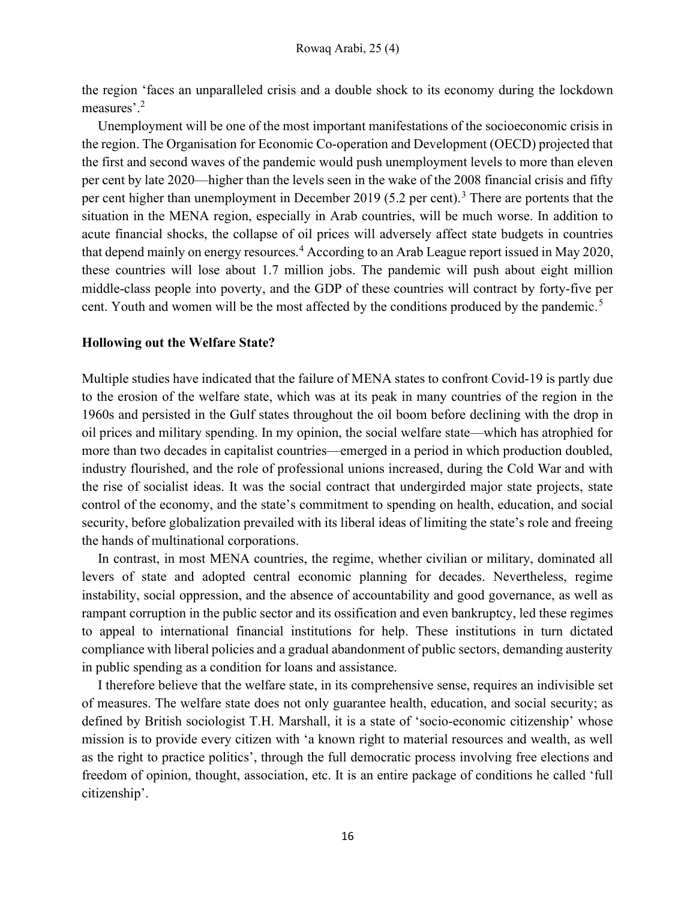the region 'faces an unparalleled crisis and a double shock to its economy during the lockdown measures'.<sup>2</sup>

Unemployment will be one of the most important manifestations of the socioeconomic crisis in the region. The Organisation for Economic Co-operation and Development (OECD) projected that the first and second waves of the pandemic would push unemployment levels to more than eleven per cent by late 2020—higher than the levels seen in the wake of the 2008 financial crisis and fifty per cent higher than unemployment in December 2019 (5.2 per cent).<sup>3</sup> There are portents that the situation in the MENA region, especially in Arab countries, will be much worse. In addition to acute financial shocks, the collapse of oil prices will adversely affect state budgets in countries that depend mainly on energy resources.<sup>4</sup> According to an Arab League report issued in May 2020, these countries will lose about 1.7 million jobs. The pandemic will push about eight million middle-class people into poverty, and the GDP of these countries will contract by forty-five per cent. Youth and women will be the most affected by the conditions produced by the pandemic.<sup>5</sup>

## Hollowing out the Welfare State?

Multiple studies have indicated that the failure of MENA states to confront Covid-19 is partly due to the erosion of the welfare state, which was at its peak in many countries of the region in the 1960s and persisted in the Gulf states throughout the oil boom before declining with the drop in oil prices and military spending. In my opinion, the social welfare state—which has atrophied for more than two decades in capitalist countries—emerged in a period in which production doubled, industry flourished, and the role of professional unions increased, during the Cold War and with the rise of socialist ideas. It was the social contract that undergirded major state projects, state control of the economy, and the state's commitment to spending on health, education, and social security, before globalization prevailed with its liberal ideas of limiting the state's role and freeing the hands of multinational corporations.

In contrast, in most MENA countries, the regime, whether civilian or military, dominated all levers of state and adopted central economic planning for decades. Nevertheless, regime instability, social oppression, and the absence of accountability and good governance, as well as rampant corruption in the public sector and its ossification and even bankruptcy, led these regimes to appeal to international financial institutions for help. These institutions in turn dictated compliance with liberal policies and a gradual abandonment of public sectors, demanding austerity in public spending as a condition for loans and assistance.

I therefore believe that the welfare state, in its comprehensive sense, requires an indivisible set of measures. The welfare state does not only guarantee health, education, and social security; as defined by British sociologist T.H. Marshall, it is a state of 'socio-economic citizenship' whose mission is to provide every citizen with 'a known right to material resources and wealth, as well as the right to practice politics', through the full democratic process involving free elections and freedom of opinion, thought, association, etc. It is an entire package of conditions he called 'full citizenship'.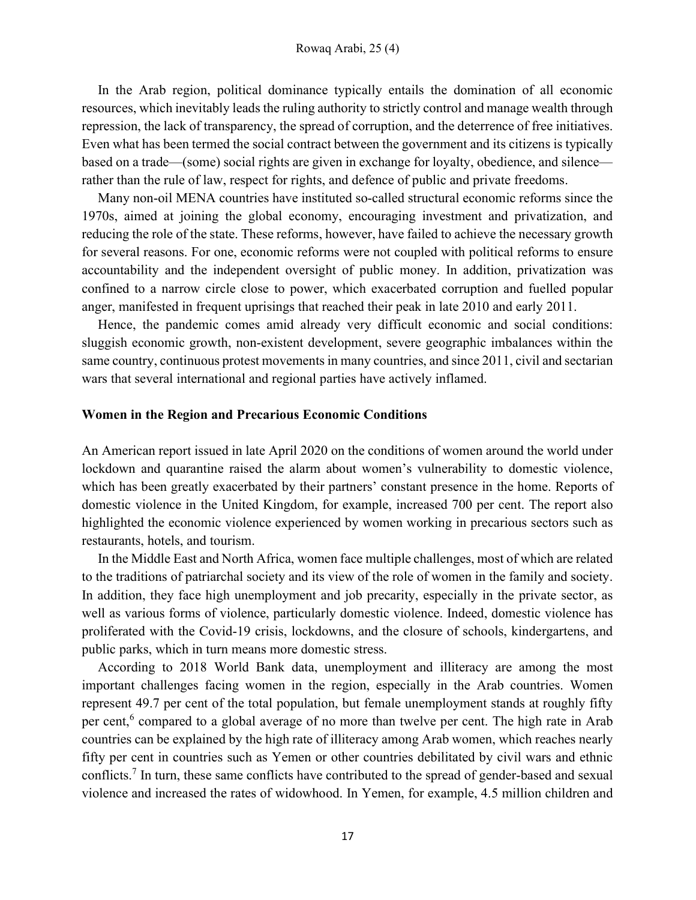In the Arab region, political dominance typically entails the domination of all economic resources, which inevitably leads the ruling authority to strictly control and manage wealth through repression, the lack of transparency, the spread of corruption, and the deterrence of free initiatives. Even what has been termed the social contract between the government and its citizens is typically based on a trade—(some) social rights are given in exchange for loyalty, obedience, and silence rather than the rule of law, respect for rights, and defence of public and private freedoms.

Many non-oil MENA countries have instituted so-called structural economic reforms since the 1970s, aimed at joining the global economy, encouraging investment and privatization, and reducing the role of the state. These reforms, however, have failed to achieve the necessary growth for several reasons. For one, economic reforms were not coupled with political reforms to ensure accountability and the independent oversight of public money. In addition, privatization was confined to a narrow circle close to power, which exacerbated corruption and fuelled popular anger, manifested in frequent uprisings that reached their peak in late 2010 and early 2011.

Hence, the pandemic comes amid already very difficult economic and social conditions: sluggish economic growth, non-existent development, severe geographic imbalances within the same country, continuous protest movements in many countries, and since 2011, civil and sectarian wars that several international and regional parties have actively inflamed.

#### Women in the Region and Precarious Economic Conditions

An American report issued in late April 2020 on the conditions of women around the world under lockdown and quarantine raised the alarm about women's vulnerability to domestic violence, which has been greatly exacerbated by their partners' constant presence in the home. Reports of domestic violence in the United Kingdom, for example, increased 700 per cent. The report also highlighted the economic violence experienced by women working in precarious sectors such as restaurants, hotels, and tourism.

In the Middle East and North Africa, women face multiple challenges, most of which are related to the traditions of patriarchal society and its view of the role of women in the family and society. In addition, they face high unemployment and job precarity, especially in the private sector, as well as various forms of violence, particularly domestic violence. Indeed, domestic violence has proliferated with the Covid-19 crisis, lockdowns, and the closure of schools, kindergartens, and public parks, which in turn means more domestic stress.

According to 2018 World Bank data, unemployment and illiteracy are among the most important challenges facing women in the region, especially in the Arab countries. Women represent 49.7 per cent of the total population, but female unemployment stands at roughly fifty per cent,<sup>6</sup> compared to a global average of no more than twelve per cent. The high rate in Arab countries can be explained by the high rate of illiteracy among Arab women, which reaches nearly fifty per cent in countries such as Yemen or other countries debilitated by civil wars and ethnic conflicts.<sup>7</sup> In turn, these same conflicts have contributed to the spread of gender-based and sexual violence and increased the rates of widowhood. In Yemen, for example, 4.5 million children and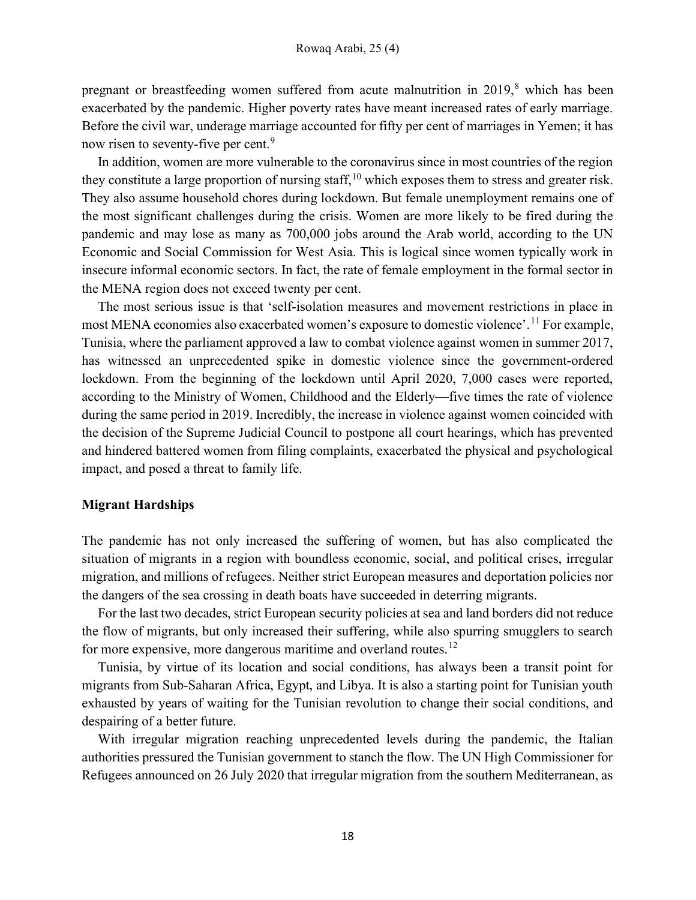pregnant or breastfeeding women suffered from acute malnutrition in  $2019$ , which has been exacerbated by the pandemic. Higher poverty rates have meant increased rates of early marriage. Before the civil war, underage marriage accounted for fifty per cent of marriages in Yemen; it has now risen to seventy-five per cent.<sup>9</sup>

In addition, women are more vulnerable to the coronavirus since in most countries of the region they constitute a large proportion of nursing staff,  $10$  which exposes them to stress and greater risk. They also assume household chores during lockdown. But female unemployment remains one of the most significant challenges during the crisis. Women are more likely to be fired during the pandemic and may lose as many as 700,000 jobs around the Arab world, according to the UN Economic and Social Commission for West Asia. This is logical since women typically work in insecure informal economic sectors. In fact, the rate of female employment in the formal sector in the MENA region does not exceed twenty per cent.

The most serious issue is that 'self-isolation measures and movement restrictions in place in most MENA economies also exacerbated women's exposure to domestic violence'.<sup>11</sup> For example, Tunisia, where the parliament approved a law to combat violence against women in summer 2017, has witnessed an unprecedented spike in domestic violence since the government-ordered lockdown. From the beginning of the lockdown until April 2020, 7,000 cases were reported, according to the Ministry of Women, Childhood and the Elderly—five times the rate of violence during the same period in 2019. Incredibly, the increase in violence against women coincided with the decision of the Supreme Judicial Council to postpone all court hearings, which has prevented and hindered battered women from filing complaints, exacerbated the physical and psychological impact, and posed a threat to family life.

#### Migrant Hardships

The pandemic has not only increased the suffering of women, but has also complicated the situation of migrants in a region with boundless economic, social, and political crises, irregular migration, and millions of refugees. Neither strict European measures and deportation policies nor the dangers of the sea crossing in death boats have succeeded in deterring migrants.

For the last two decades, strict European security policies at sea and land borders did not reduce the flow of migrants, but only increased their suffering, while also spurring smugglers to search for more expensive, more dangerous maritime and overland routes.<sup>12</sup>

Tunisia, by virtue of its location and social conditions, has always been a transit point for migrants from Sub-Saharan Africa, Egypt, and Libya. It is also a starting point for Tunisian youth exhausted by years of waiting for the Tunisian revolution to change their social conditions, and despairing of a better future.

With irregular migration reaching unprecedented levels during the pandemic, the Italian authorities pressured the Tunisian government to stanch the flow. The UN High Commissioner for Refugees announced on 26 July 2020 that irregular migration from the southern Mediterranean, as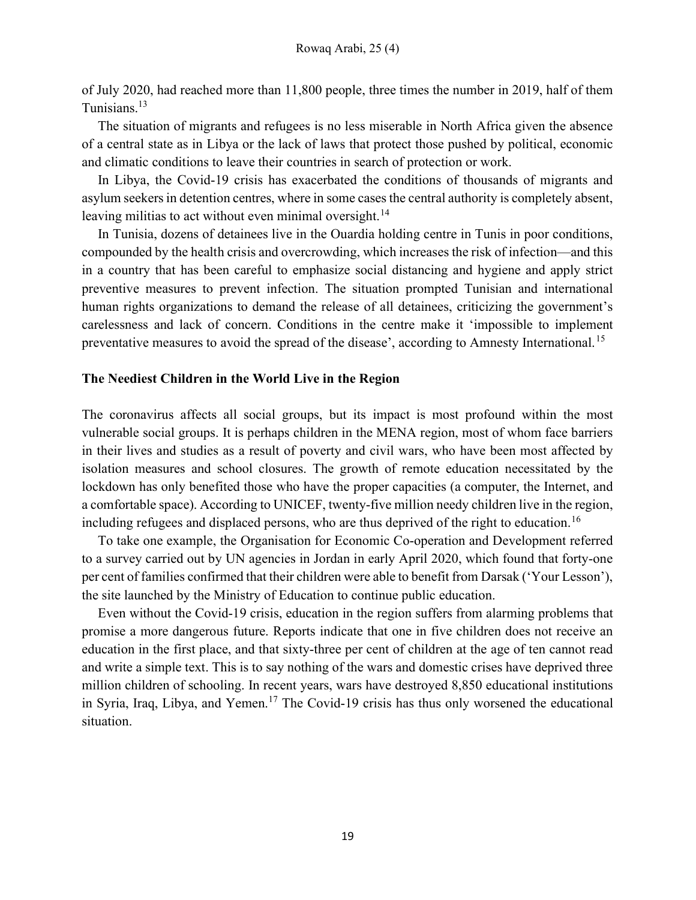of July 2020, had reached more than 11,800 people, three times the number in 2019, half of them Tunisians.<sup>13</sup>

The situation of migrants and refugees is no less miserable in North Africa given the absence of a central state as in Libya or the lack of laws that protect those pushed by political, economic and climatic conditions to leave their countries in search of protection or work.

In Libya, the Covid-19 crisis has exacerbated the conditions of thousands of migrants and asylum seekers in detention centres, where in some cases the central authority is completely absent, leaving militias to act without even minimal oversight.<sup>14</sup>

In Tunisia, dozens of detainees live in the Ouardia holding centre in Tunis in poor conditions, compounded by the health crisis and overcrowding, which increases the risk of infection—and this in a country that has been careful to emphasize social distancing and hygiene and apply strict preventive measures to prevent infection. The situation prompted Tunisian and international human rights organizations to demand the release of all detainees, criticizing the government's carelessness and lack of concern. Conditions in the centre make it 'impossible to implement preventative measures to avoid the spread of the disease', according to Amnesty International.<sup>15</sup>

#### The Neediest Children in the World Live in the Region

The coronavirus affects all social groups, but its impact is most profound within the most vulnerable social groups. It is perhaps children in the MENA region, most of whom face barriers in their lives and studies as a result of poverty and civil wars, who have been most affected by isolation measures and school closures. The growth of remote education necessitated by the lockdown has only benefited those who have the proper capacities (a computer, the Internet, and a comfortable space). According to UNICEF, twenty-five million needy children live in the region, including refugees and displaced persons, who are thus deprived of the right to education.<sup>16</sup>

To take one example, the Organisation for Economic Co-operation and Development referred to a survey carried out by UN agencies in Jordan in early April 2020, which found that forty-one per cent of families confirmed that their children were able to benefit from Darsak ('Your Lesson'), the site launched by the Ministry of Education to continue public education.

Even without the Covid-19 crisis, education in the region suffers from alarming problems that promise a more dangerous future. Reports indicate that one in five children does not receive an education in the first place, and that sixty-three per cent of children at the age of ten cannot read and write a simple text. This is to say nothing of the wars and domestic crises have deprived three million children of schooling. In recent years, wars have destroyed 8,850 educational institutions in Syria, Iraq, Libya, and Yemen.<sup>17</sup> The Covid-19 crisis has thus only worsened the educational situation.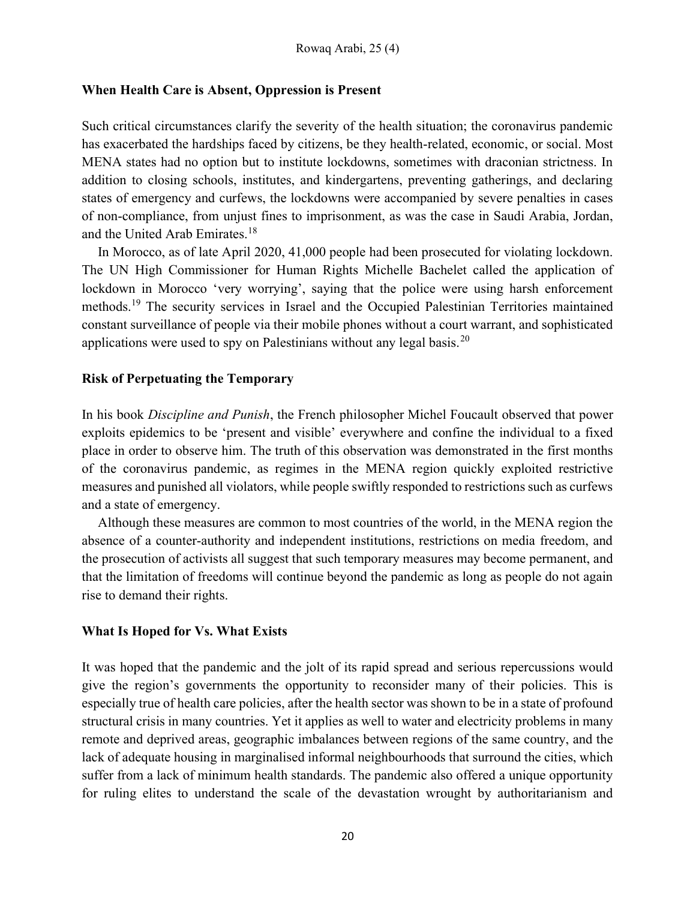#### When Health Care is Absent, Oppression is Present

Such critical circumstances clarify the severity of the health situation; the coronavirus pandemic has exacerbated the hardships faced by citizens, be they health-related, economic, or social. Most MENA states had no option but to institute lockdowns, sometimes with draconian strictness. In addition to closing schools, institutes, and kindergartens, preventing gatherings, and declaring states of emergency and curfews, the lockdowns were accompanied by severe penalties in cases of non-compliance, from unjust fines to imprisonment, as was the case in Saudi Arabia, Jordan, and the United Arab Emirates.<sup>18</sup>

In Morocco, as of late April 2020, 41,000 people had been prosecuted for violating lockdown. The UN High Commissioner for Human Rights Michelle Bachelet called the application of lockdown in Morocco 'very worrying', saying that the police were using harsh enforcement methods.<sup>19</sup> The security services in Israel and the Occupied Palestinian Territories maintained constant surveillance of people via their mobile phones without a court warrant, and sophisticated applications were used to spy on Palestinians without any legal basis.<sup>20</sup>

## Risk of Perpetuating the Temporary

In his book Discipline and Punish, the French philosopher Michel Foucault observed that power exploits epidemics to be 'present and visible' everywhere and confine the individual to a fixed place in order to observe him. The truth of this observation was demonstrated in the first months of the coronavirus pandemic, as regimes in the MENA region quickly exploited restrictive measures and punished all violators, while people swiftly responded to restrictions such as curfews and a state of emergency.

Although these measures are common to most countries of the world, in the MENA region the absence of a counter-authority and independent institutions, restrictions on media freedom, and the prosecution of activists all suggest that such temporary measures may become permanent, and that the limitation of freedoms will continue beyond the pandemic as long as people do not again rise to demand their rights.

## What Is Hoped for Vs. What Exists

It was hoped that the pandemic and the jolt of its rapid spread and serious repercussions would give the region's governments the opportunity to reconsider many of their policies. This is especially true of health care policies, after the health sector was shown to be in a state of profound structural crisis in many countries. Yet it applies as well to water and electricity problems in many remote and deprived areas, geographic imbalances between regions of the same country, and the lack of adequate housing in marginalised informal neighbourhoods that surround the cities, which suffer from a lack of minimum health standards. The pandemic also offered a unique opportunity for ruling elites to understand the scale of the devastation wrought by authoritarianism and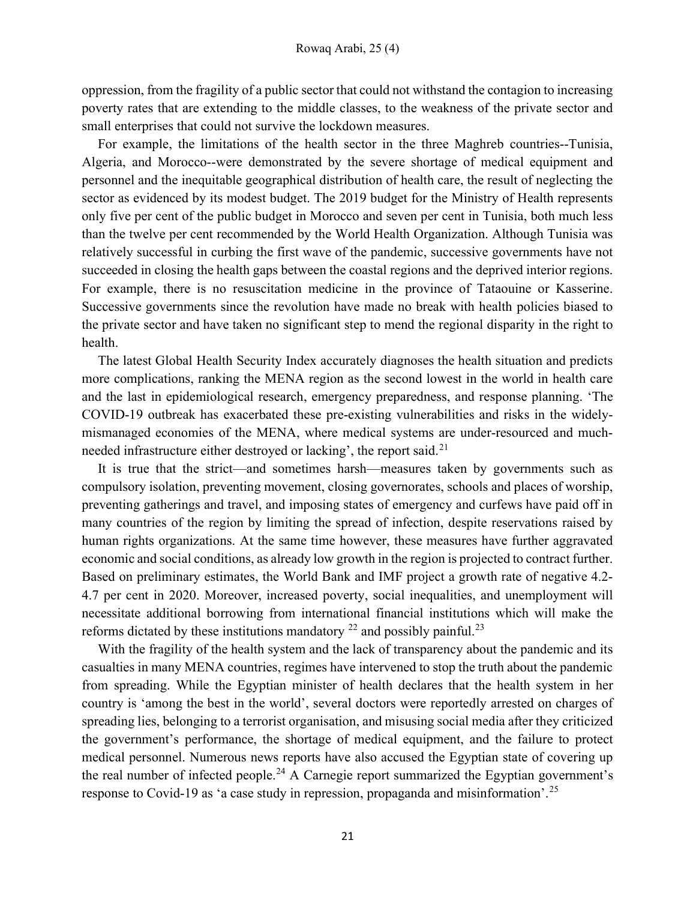oppression, from the fragility of a public sector that could not withstand the contagion to increasing poverty rates that are extending to the middle classes, to the weakness of the private sector and small enterprises that could not survive the lockdown measures.

For example, the limitations of the health sector in the three Maghreb countries--Tunisia, Algeria, and Morocco--were demonstrated by the severe shortage of medical equipment and personnel and the inequitable geographical distribution of health care, the result of neglecting the sector as evidenced by its modest budget. The 2019 budget for the Ministry of Health represents only five per cent of the public budget in Morocco and seven per cent in Tunisia, both much less than the twelve per cent recommended by the World Health Organization. Although Tunisia was relatively successful in curbing the first wave of the pandemic, successive governments have not succeeded in closing the health gaps between the coastal regions and the deprived interior regions. For example, there is no resuscitation medicine in the province of Tataouine or Kasserine. Successive governments since the revolution have made no break with health policies biased to the private sector and have taken no significant step to mend the regional disparity in the right to health.

The latest Global Health Security Index accurately diagnoses the health situation and predicts more complications, ranking the MENA region as the second lowest in the world in health care and the last in epidemiological research, emergency preparedness, and response planning. 'The COVID-19 outbreak has exacerbated these pre-existing vulnerabilities and risks in the widelymismanaged economies of the MENA, where medical systems are under-resourced and muchneeded infrastructure either destroyed or lacking', the report said.<sup>21</sup>

It is true that the strict—and sometimes harsh—measures taken by governments such as compulsory isolation, preventing movement, closing governorates, schools and places of worship, preventing gatherings and travel, and imposing states of emergency and curfews have paid off in many countries of the region by limiting the spread of infection, despite reservations raised by human rights organizations. At the same time however, these measures have further aggravated economic and social conditions, as already low growth in the region is projected to contract further. Based on preliminary estimates, the World Bank and IMF project a growth rate of negative 4.2- 4.7 per cent in 2020. Moreover, increased poverty, social inequalities, and unemployment will necessitate additional borrowing from international financial institutions which will make the reforms dictated by these institutions mandatory  $^{22}$  and possibly painful.<sup>23</sup>

With the fragility of the health system and the lack of transparency about the pandemic and its casualties in many MENA countries, regimes have intervened to stop the truth about the pandemic from spreading. While the Egyptian minister of health declares that the health system in her country is 'among the best in the world', several doctors were reportedly arrested on charges of spreading lies, belonging to a terrorist organisation, and misusing social media after they criticized the government's performance, the shortage of medical equipment, and the failure to protect medical personnel. Numerous news reports have also accused the Egyptian state of covering up the real number of infected people.<sup>24</sup> A Carnegie report summarized the Egyptian government's response to Covid-19 as 'a case study in repression, propaganda and misinformation'.<sup>25</sup>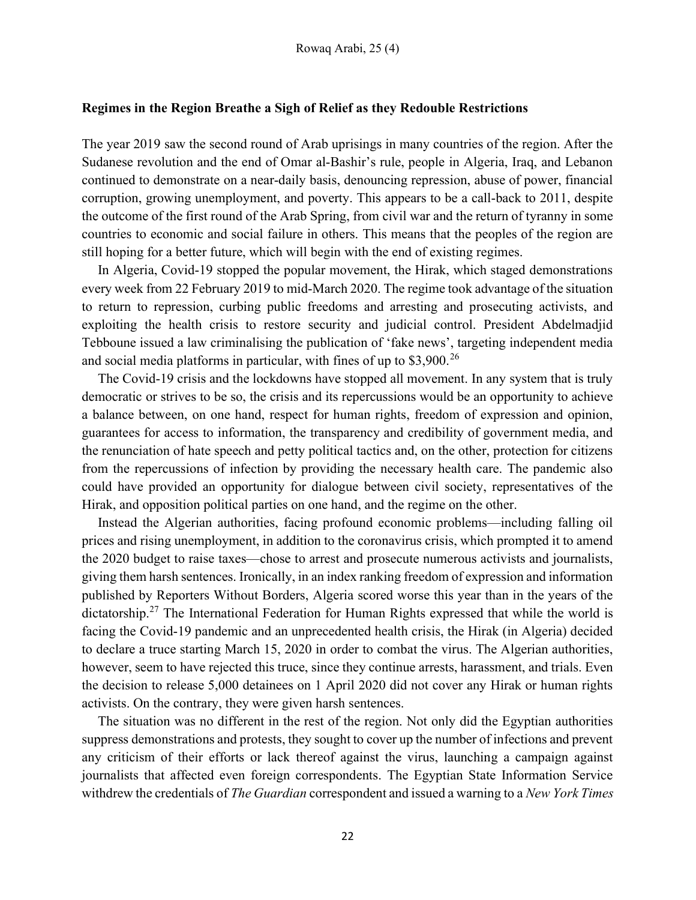#### Regimes in the Region Breathe a Sigh of Relief as they Redouble Restrictions

The year 2019 saw the second round of Arab uprisings in many countries of the region. After the Sudanese revolution and the end of Omar al-Bashir's rule, people in Algeria, Iraq, and Lebanon continued to demonstrate on a near-daily basis, denouncing repression, abuse of power, financial corruption, growing unemployment, and poverty. This appears to be a call-back to 2011, despite the outcome of the first round of the Arab Spring, from civil war and the return of tyranny in some countries to economic and social failure in others. This means that the peoples of the region are still hoping for a better future, which will begin with the end of existing regimes.

In Algeria, Covid-19 stopped the popular movement, the Hirak, which staged demonstrations every week from 22 February 2019 to mid-March 2020. The regime took advantage of the situation to return to repression, curbing public freedoms and arresting and prosecuting activists, and exploiting the health crisis to restore security and judicial control. President Abdelmadjid Tebboune issued a law criminalising the publication of 'fake news', targeting independent media and social media platforms in particular, with fines of up to  $$3,900$ <sup>26</sup>

The Covid-19 crisis and the lockdowns have stopped all movement. In any system that is truly democratic or strives to be so, the crisis and its repercussions would be an opportunity to achieve a balance between, on one hand, respect for human rights, freedom of expression and opinion, guarantees for access to information, the transparency and credibility of government media, and the renunciation of hate speech and petty political tactics and, on the other, protection for citizens from the repercussions of infection by providing the necessary health care. The pandemic also could have provided an opportunity for dialogue between civil society, representatives of the Hirak, and opposition political parties on one hand, and the regime on the other.

Instead the Algerian authorities, facing profound economic problems—including falling oil prices and rising unemployment, in addition to the coronavirus crisis, which prompted it to amend the 2020 budget to raise taxes—chose to arrest and prosecute numerous activists and journalists, giving them harsh sentences. Ironically, in an index ranking freedom of expression and information published by Reporters Without Borders, Algeria scored worse this year than in the years of the dictatorship.<sup>27</sup> The International Federation for Human Rights expressed that while the world is facing the Covid-19 pandemic and an unprecedented health crisis, the Hirak (in Algeria) decided to declare a truce starting March 15, 2020 in order to combat the virus. The Algerian authorities, however, seem to have rejected this truce, since they continue arrests, harassment, and trials. Even the decision to release 5,000 detainees on 1 April 2020 did not cover any Hirak or human rights activists. On the contrary, they were given harsh sentences.

The situation was no different in the rest of the region. Not only did the Egyptian authorities suppress demonstrations and protests, they sought to cover up the number of infections and prevent any criticism of their efforts or lack thereof against the virus, launching a campaign against journalists that affected even foreign correspondents. The Egyptian State Information Service withdrew the credentials of *The Guardian* correspondent and issued a warning to a *New York Times*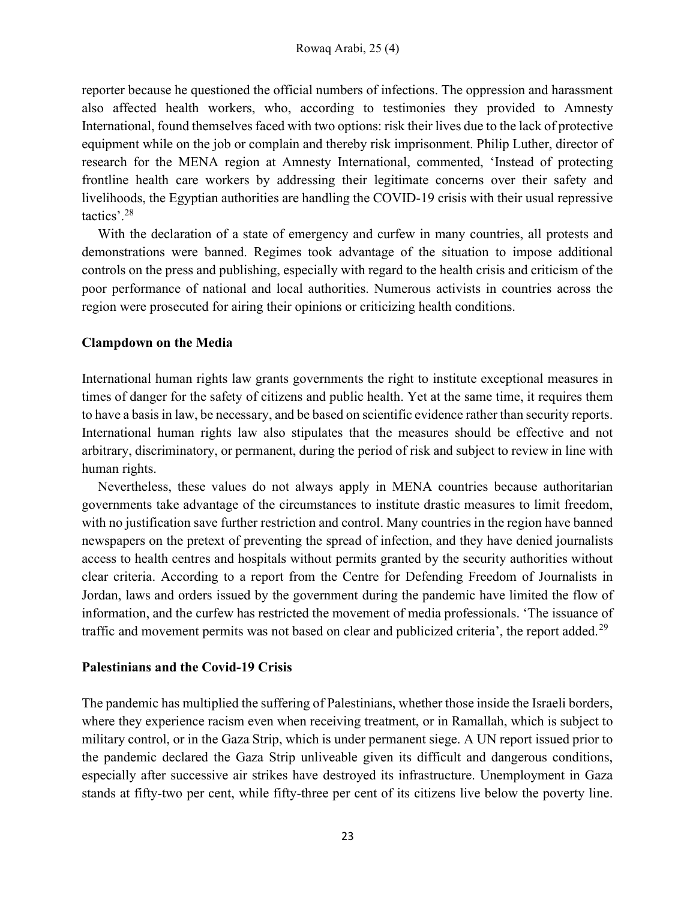reporter because he questioned the official numbers of infections. The oppression and harassment also affected health workers, who, according to testimonies they provided to Amnesty International, found themselves faced with two options: risk their lives due to the lack of protective equipment while on the job or complain and thereby risk imprisonment. Philip Luther, director of research for the MENA region at Amnesty International, commented, 'Instead of protecting frontline health care workers by addressing their legitimate concerns over their safety and livelihoods, the Egyptian authorities are handling the COVID-19 crisis with their usual repressive tactics'.<sup>28</sup>

With the declaration of a state of emergency and curfew in many countries, all protests and demonstrations were banned. Regimes took advantage of the situation to impose additional controls on the press and publishing, especially with regard to the health crisis and criticism of the poor performance of national and local authorities. Numerous activists in countries across the region were prosecuted for airing their opinions or criticizing health conditions.

## Clampdown on the Media

International human rights law grants governments the right to institute exceptional measures in times of danger for the safety of citizens and public health. Yet at the same time, it requires them to have a basis in law, be necessary, and be based on scientific evidence rather than security reports. International human rights law also stipulates that the measures should be effective and not arbitrary, discriminatory, or permanent, during the period of risk and subject to review in line with human rights.

Nevertheless, these values do not always apply in MENA countries because authoritarian governments take advantage of the circumstances to institute drastic measures to limit freedom, with no justification save further restriction and control. Many countries in the region have banned newspapers on the pretext of preventing the spread of infection, and they have denied journalists access to health centres and hospitals without permits granted by the security authorities without clear criteria. According to a report from the Centre for Defending Freedom of Journalists in Jordan, laws and orders issued by the government during the pandemic have limited the flow of information, and the curfew has restricted the movement of media professionals. 'The issuance of traffic and movement permits was not based on clear and publicized criteria', the report added.<sup>29</sup>

## Palestinians and the Covid-19 Crisis

The pandemic has multiplied the suffering of Palestinians, whether those inside the Israeli borders, where they experience racism even when receiving treatment, or in Ramallah, which is subject to military control, or in the Gaza Strip, which is under permanent siege. A UN report issued prior to the pandemic declared the Gaza Strip unliveable given its difficult and dangerous conditions, especially after successive air strikes have destroyed its infrastructure. Unemployment in Gaza stands at fifty-two per cent, while fifty-three per cent of its citizens live below the poverty line.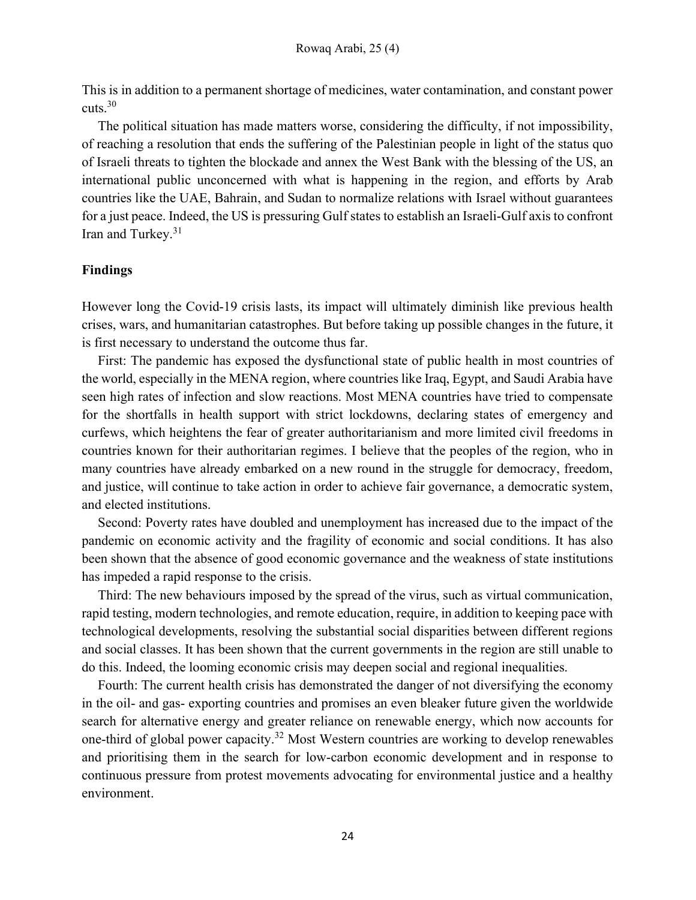This is in addition to a permanent shortage of medicines, water contamination, and constant power cuts.<sup>30</sup>

The political situation has made matters worse, considering the difficulty, if not impossibility, of reaching a resolution that ends the suffering of the Palestinian people in light of the status quo of Israeli threats to tighten the blockade and annex the West Bank with the blessing of the US, an international public unconcerned with what is happening in the region, and efforts by Arab countries like the UAE, Bahrain, and Sudan to normalize relations with Israel without guarantees for a just peace. Indeed, the US is pressuring Gulf states to establish an Israeli-Gulf axis to confront Iran and Turkey.<sup>31</sup>

## Findings

However long the Covid-19 crisis lasts, its impact will ultimately diminish like previous health crises, wars, and humanitarian catastrophes. But before taking up possible changes in the future, it is first necessary to understand the outcome thus far.

First: The pandemic has exposed the dysfunctional state of public health in most countries of the world, especially in the MENA region, where countries like Iraq, Egypt, and Saudi Arabia have seen high rates of infection and slow reactions. Most MENA countries have tried to compensate for the shortfalls in health support with strict lockdowns, declaring states of emergency and curfews, which heightens the fear of greater authoritarianism and more limited civil freedoms in countries known for their authoritarian regimes. I believe that the peoples of the region, who in many countries have already embarked on a new round in the struggle for democracy, freedom, and justice, will continue to take action in order to achieve fair governance, a democratic system, and elected institutions.

Second: Poverty rates have doubled and unemployment has increased due to the impact of the pandemic on economic activity and the fragility of economic and social conditions. It has also been shown that the absence of good economic governance and the weakness of state institutions has impeded a rapid response to the crisis.

Third: The new behaviours imposed by the spread of the virus, such as virtual communication, rapid testing, modern technologies, and remote education, require, in addition to keeping pace with technological developments, resolving the substantial social disparities between different regions and social classes. It has been shown that the current governments in the region are still unable to do this. Indeed, the looming economic crisis may deepen social and regional inequalities.

Fourth: The current health crisis has demonstrated the danger of not diversifying the economy in the oil- and gas- exporting countries and promises an even bleaker future given the worldwide search for alternative energy and greater reliance on renewable energy, which now accounts for one-third of global power capacity.<sup>32</sup> Most Western countries are working to develop renewables and prioritising them in the search for low-carbon economic development and in response to continuous pressure from protest movements advocating for environmental justice and a healthy environment.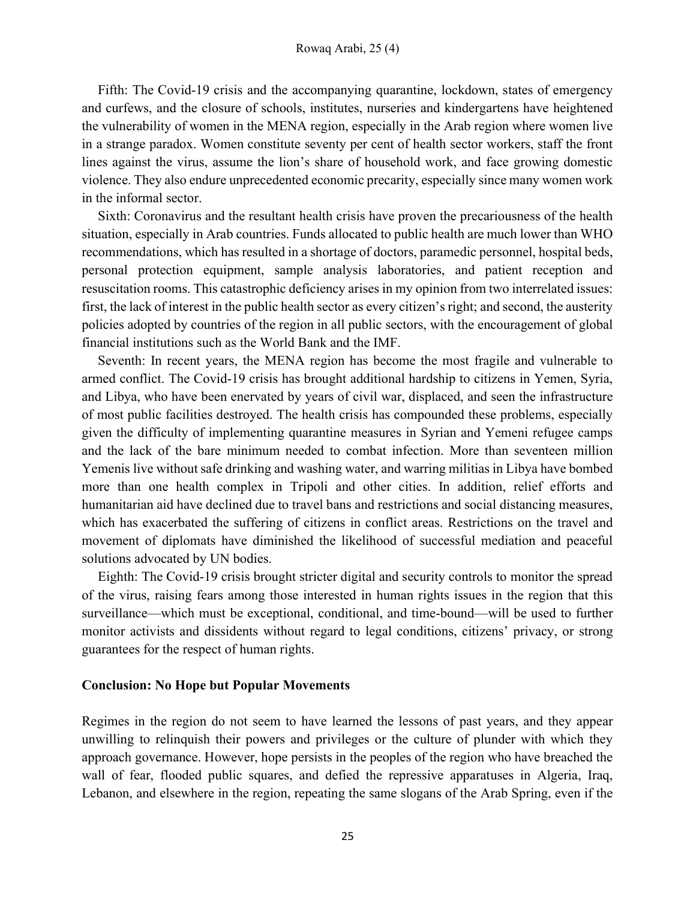Fifth: The Covid-19 crisis and the accompanying quarantine, lockdown, states of emergency and curfews, and the closure of schools, institutes, nurseries and kindergartens have heightened the vulnerability of women in the MENA region, especially in the Arab region where women live in a strange paradox. Women constitute seventy per cent of health sector workers, staff the front lines against the virus, assume the lion's share of household work, and face growing domestic violence. They also endure unprecedented economic precarity, especially since many women work in the informal sector.

Sixth: Coronavirus and the resultant health crisis have proven the precariousness of the health situation, especially in Arab countries. Funds allocated to public health are much lower than WHO recommendations, which has resulted in a shortage of doctors, paramedic personnel, hospital beds, personal protection equipment, sample analysis laboratories, and patient reception and resuscitation rooms. This catastrophic deficiency arises in my opinion from two interrelated issues: first, the lack of interest in the public health sector as every citizen's right; and second, the austerity policies adopted by countries of the region in all public sectors, with the encouragement of global financial institutions such as the World Bank and the IMF.

Seventh: In recent years, the MENA region has become the most fragile and vulnerable to armed conflict. The Covid-19 crisis has brought additional hardship to citizens in Yemen, Syria, and Libya, who have been enervated by years of civil war, displaced, and seen the infrastructure of most public facilities destroyed. The health crisis has compounded these problems, especially given the difficulty of implementing quarantine measures in Syrian and Yemeni refugee camps and the lack of the bare minimum needed to combat infection. More than seventeen million Yemenis live without safe drinking and washing water, and warring militias in Libya have bombed more than one health complex in Tripoli and other cities. In addition, relief efforts and humanitarian aid have declined due to travel bans and restrictions and social distancing measures, which has exacerbated the suffering of citizens in conflict areas. Restrictions on the travel and movement of diplomats have diminished the likelihood of successful mediation and peaceful solutions advocated by UN bodies.

Eighth: The Covid-19 crisis brought stricter digital and security controls to monitor the spread of the virus, raising fears among those interested in human rights issues in the region that this surveillance—which must be exceptional, conditional, and time-bound—will be used to further monitor activists and dissidents without regard to legal conditions, citizens' privacy, or strong guarantees for the respect of human rights.

#### Conclusion: No Hope but Popular Movements

Regimes in the region do not seem to have learned the lessons of past years, and they appear unwilling to relinquish their powers and privileges or the culture of plunder with which they approach governance. However, hope persists in the peoples of the region who have breached the wall of fear, flooded public squares, and defied the repressive apparatuses in Algeria, Iraq, Lebanon, and elsewhere in the region, repeating the same slogans of the Arab Spring, even if the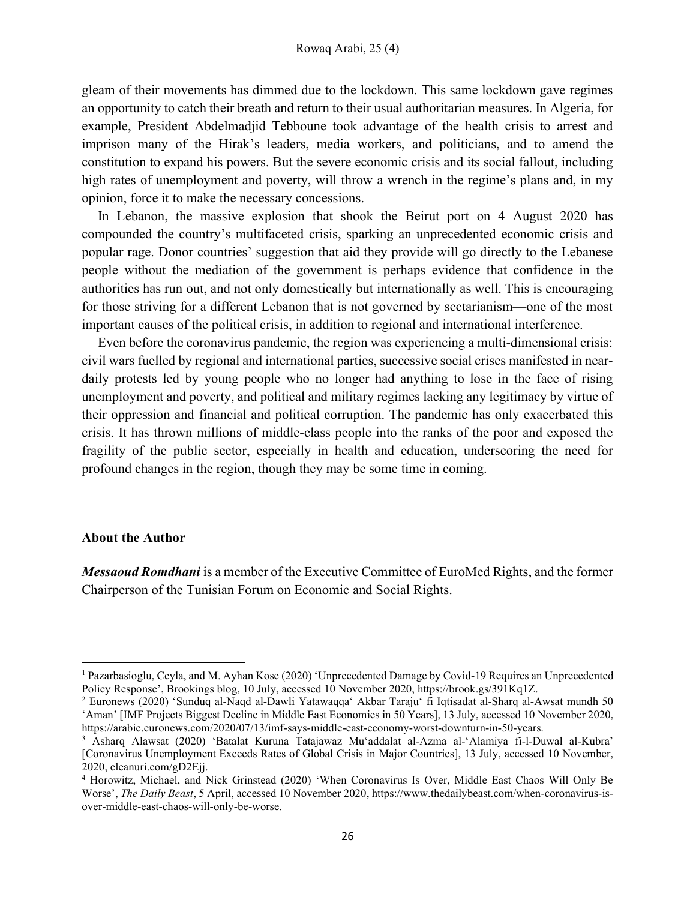gleam of their movements has dimmed due to the lockdown. This same lockdown gave regimes an opportunity to catch their breath and return to their usual authoritarian measures. In Algeria, for example, President Abdelmadjid Tebboune took advantage of the health crisis to arrest and imprison many of the Hirak's leaders, media workers, and politicians, and to amend the constitution to expand his powers. But the severe economic crisis and its social fallout, including high rates of unemployment and poverty, will throw a wrench in the regime's plans and, in my opinion, force it to make the necessary concessions.

In Lebanon, the massive explosion that shook the Beirut port on 4 August 2020 has compounded the country's multifaceted crisis, sparking an unprecedented economic crisis and popular rage. Donor countries' suggestion that aid they provide will go directly to the Lebanese people without the mediation of the government is perhaps evidence that confidence in the authorities has run out, and not only domestically but internationally as well. This is encouraging for those striving for a different Lebanon that is not governed by sectarianism—one of the most important causes of the political crisis, in addition to regional and international interference.

Even before the coronavirus pandemic, the region was experiencing a multi-dimensional crisis: civil wars fuelled by regional and international parties, successive social crises manifested in neardaily protests led by young people who no longer had anything to lose in the face of rising unemployment and poverty, and political and military regimes lacking any legitimacy by virtue of their oppression and financial and political corruption. The pandemic has only exacerbated this crisis. It has thrown millions of middle-class people into the ranks of the poor and exposed the fragility of the public sector, especially in health and education, underscoring the need for profound changes in the region, though they may be some time in coming.

#### About the Author

**Messaoud Romdhani** is a member of the Executive Committee of EuroMed Rights, and the former Chairperson of the Tunisian Forum on Economic and Social Rights.

<sup>&</sup>lt;sup>1</sup> Pazarbasioglu, Ceyla, and M. Ayhan Kose (2020) 'Unprecedented Damage by Covid-19 Requires an Unprecedented Policy Response', Brookings blog, 10 July, accessed 10 November 2020, https://brook.gs/391Kq1Z.

<sup>&</sup>lt;sup>2</sup> Euronews (2020) 'Sunduq al-Naqd al-Dawli Yatawaqqa' Akbar Taraju' fi Iqtisadat al-Sharq al-Awsat mundh 50 'Aman' [IMF Projects Biggest Decline in Middle East Economies in 50 Years], 13 July, accessed 10 November 2020, https://arabic.euronews.com/2020/07/13/imf-says-middle-east-economy-worst-downturn-in-50-years.

<sup>3</sup> Asharq Alawsat (2020) 'Batalat Kuruna Tatajawaz Mu'addalat al-Azma al-'Alamiya fi-l-Duwal al-Kubra' [Coronavirus Unemployment Exceeds Rates of Global Crisis in Major Countries], 13 July, accessed 10 November, 2020, cleanuri.com/gD2Ejj.

<sup>4</sup> Horowitz, Michael, and Nick Grinstead (2020) 'When Coronavirus Is Over, Middle East Chaos Will Only Be Worse', The Daily Beast, 5 April, accessed 10 November 2020, https://www.thedailybeast.com/when-coronavirus-isover-middle-east-chaos-will-only-be-worse.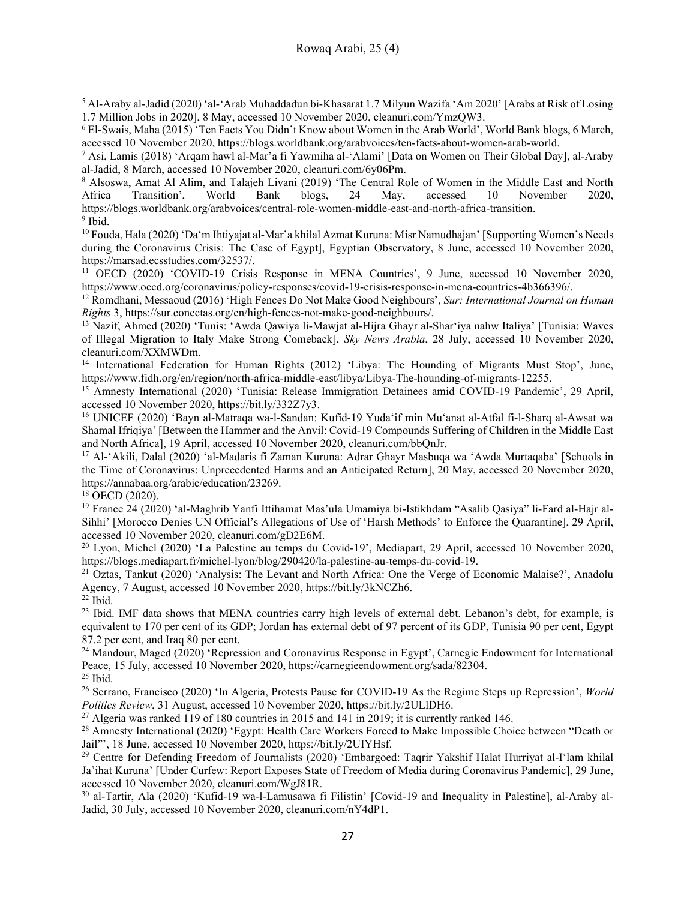<sup>5</sup> Al-Araby al-Jadid (2020) 'al-'Arab Muhaddadun bi-Khasarat 1.7 Milyun Wazifa 'Am 2020' [Arabs at Risk of Losing 1.7 Million Jobs in 2020], 8 May, accessed 10 November 2020, cleanuri.com/YmzQW3.

6 El-Swais, Maha (2015) 'Ten Facts You Didn't Know about Women in the Arab World', World Bank blogs, 6 March, accessed 10 November 2020, https://blogs.worldbank.org/arabvoices/ten-facts-about-women-arab-world.

<sup>8</sup> Alsoswa, Amat Al Alim, and Talajeh Livani (2019) 'The Central Role of Women in the Middle East and North Africa Transition', World Bank blogs, 24 May, accessed 10 November 2020, https://blogs.worldbank.org/arabvoices/central-role-women-middle-east-and-north-africa-transition. <sup>9</sup> Ibid.

<sup>10</sup> Fouda, Hala (2020) 'Da'm Ihtiyajat al-Mar'a khilal Azmat Kuruna: Misr Namudhajan' [Supporting Women's Needs during the Coronavirus Crisis: The Case of Egypt], Egyptian Observatory, 8 June, accessed 10 November 2020, https://marsad.ecsstudies.com/32537/.

<sup>11</sup> OECD (2020) 'COVID-19 Crisis Response in MENA Countries', 9 June, accessed 10 November 2020, https://www.oecd.org/coronavirus/policy-responses/covid-19-crisis-response-in-mena-countries-4b366396/.

<sup>12</sup> Romdhani, Messaoud (2016) 'High Fences Do Not Make Good Neighbours', Sur: International Journal on Human Rights 3, https://sur.conectas.org/en/high-fences-not-make-good-neighbours/.

<sup>13</sup> Nazif, Ahmed (2020) 'Tunis: 'Awda Qawiya li-Mawjat al-Hijra Ghayr al-Shar'iya nahw Italiya' [Tunisia: Waves of Illegal Migration to Italy Make Strong Comeback], Sky News Arabia, 28 July, accessed 10 November 2020, cleanuri.com/XXMWDm.

<sup>14</sup> International Federation for Human Rights (2012) 'Libya: The Hounding of Migrants Must Stop', June, https://www.fidh.org/en/region/north-africa-middle-east/libya/Libya-The-hounding-of-migrants-12255.

<sup>15</sup> Amnesty International (2020) 'Tunisia: Release Immigration Detainees amid COVID-19 Pandemic', 29 April, accessed 10 November 2020, https://bit.ly/332Z7y3.

<sup>16</sup> UNICEF (2020) 'Bayn al-Matraqa wa-l-Sandan: Kufid-19 Yuda'if min Mu'anat al-Atfal fi-l-Sharq al-Awsat wa Shamal Ifriqiya' [Between the Hammer and the Anvil: Covid-19 Compounds Suffering of Children in the Middle East and North Africa], 19 April, accessed 10 November 2020, cleanuri.com/bbQnJr.

<sup>17</sup> Al-'Akili, Dalal (2020) 'al-Madaris fi Zaman Kuruna: Adrar Ghayr Masbuqa wa 'Awda Murtaqaba' [Schools in the Time of Coronavirus: Unprecedented Harms and an Anticipated Return], 20 May, accessed 20 November 2020, https://annabaa.org/arabic/education/23269.

<sup>18</sup> OECD (2020).

19 France 24 (2020) 'al-Maghrib Yanfi Ittihamat Mas'ula Umamiya bi-Istikhdam "Asalib Qasiya" li-Fard al-Hajr al-Sihhi' [Morocco Denies UN Official's Allegations of Use of 'Harsh Methods' to Enforce the Quarantine], 29 April, accessed 10 November 2020, cleanuri.com/gD2E6M.

<sup>20</sup> Lyon, Michel (2020) 'La Palestine au temps du Covid-19', Mediapart, 29 April, accessed 10 November 2020, https://blogs.mediapart.fr/michel-lyon/blog/290420/la-palestine-au-temps-du-covid-19.

<sup>21</sup> Oztas, Tankut (2020) 'Analysis: The Levant and North Africa: One the Verge of Economic Malaise?', Anadolu Agency, 7 August, accessed 10 November 2020, https://bit.ly/3kNCZh6.  $^{22}$  Ibid.

<sup>23</sup> Ibid. IMF data shows that MENA countries carry high levels of external debt. Lebanon's debt, for example, is equivalent to 170 per cent of its GDP; Jordan has external debt of 97 percent of its GDP, Tunisia 90 per cent, Egypt 87.2 per cent, and Iraq 80 per cent.

<sup>24</sup> Mandour, Maged (2020) 'Repression and Coronavirus Response in Egypt', Carnegie Endowment for International Peace, 15 July, accessed 10 November 2020, https://carnegieendowment.org/sada/82304.

<sup>25</sup> Ibid.

<sup>26</sup> Serrano, Francisco (2020) 'In Algeria, Protests Pause for COVID-19 As the Regime Steps up Repression', *World* Politics Review, 31 August, accessed 10 November 2020, https://bit.ly/2ULlDH6.

 $27$  Algeria was ranked 119 of 180 countries in 2015 and 141 in 2019; it is currently ranked 146.

<sup>28</sup> Amnesty International (2020) 'Egypt: Health Care Workers Forced to Make Impossible Choice between "Death or Jail"', 18 June, accessed 10 November 2020, https://bit.ly/2UIYHsf.

<sup>29</sup> Centre for Defending Freedom of Journalists (2020) 'Embargoed: Taqrir Yakshif Halat Hurriyat al-I'lam khilal Ja'ihat Kuruna' [Under Curfew: Report Exposes State of Freedom of Media during Coronavirus Pandemic], 29 June, accessed 10 November 2020, cleanuri.com/WgJ81R.

30 al-Tartir, Ala (2020) 'Kufid-19 wa-l-Lamusawa fi Filistin' [Covid-19 and Inequality in Palestine], al-Araby al-Jadid, 30 July, accessed 10 November 2020, cleanuri.com/nY4dP1.

<sup>7</sup> Asi, Lamis (2018) 'Arqam hawl al-Mar'a fi Yawmiha al-'Alami' [Data on Women on Their Global Day], al-Araby al-Jadid, 8 March, accessed 10 November 2020, cleanuri.com/6y06Pm.